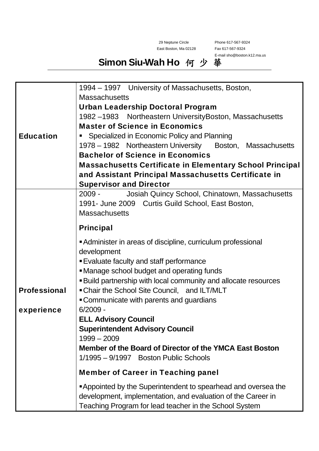29 Neptune Circle East Boston, Ma 02128 Phone 617-567-9324 Fax 617-567-9324 E-mail sho@boston.k12.ma.us

## Simon Siu-Wah Ho 何 少 華

|                     | 1994 – 1997 University of Massachusetts, Boston,                     |
|---------------------|----------------------------------------------------------------------|
|                     | <b>Massachusetts</b>                                                 |
|                     | <b>Urban Leadership Doctoral Program</b>                             |
|                     | 1982 -1983 Northeastern University Boston, Massachusetts             |
|                     | <b>Master of Science in Economics</b>                                |
| <b>Education</b>    | Specialized in Economic Policy and Planning                          |
|                     | 1978 – 1982 Northeastern University<br>Boston, Massachusetts         |
|                     | <b>Bachelor of Science in Economics</b>                              |
|                     | <b>Massachusetts Certificate in Elementary School Principal</b>      |
|                     | and Assistant Principal Massachusetts Certificate in                 |
|                     | <b>Supervisor and Director</b>                                       |
|                     | Josiah Quincy School, Chinatown, Massachusetts<br>2009 -             |
|                     | 1991- June 2009 Curtis Guild School, East Boston,                    |
|                     | <b>Massachusetts</b>                                                 |
|                     | <b>Principal</b>                                                     |
|                     | Administer in areas of discipline, curriculum professional           |
|                     | development                                                          |
|                     | <b>Evaluate faculty and staff performance</b>                        |
|                     | • Manage school budget and operating funds                           |
|                     | <b>Build partnership with local community and allocate resources</b> |
| <b>Professional</b> | • Chair the School Site Council, and ILT/MLT                         |
|                     | • Communicate with parents and guardians                             |
| experience          | $6/2009 -$                                                           |
|                     | <b>ELL Advisory Council</b>                                          |
|                     | <b>Superintendent Advisory Council</b>                               |
|                     | $1999 - 2009$                                                        |
|                     | Member of the Board of Director of the YMCA East Boston              |
|                     | 1/1995 – 9/1997 Boston Public Schools                                |
|                     | <b>Member of Career in Teaching panel</b>                            |
|                     | Appointed by the Superintendent to spearhead and oversea the         |
|                     | development, implementation, and evaluation of the Career in         |
|                     | Teaching Program for lead teacher in the School System               |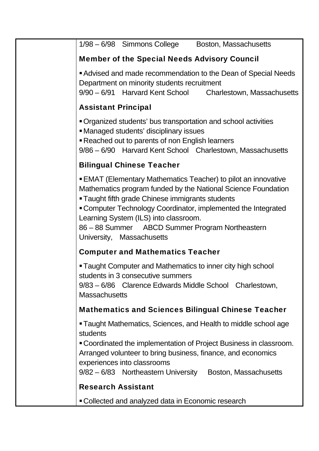| 1/98 - 6/98 Simmons College Boston, Massachusetts                                                                                                                                                                                                                                                                                                                                      |
|----------------------------------------------------------------------------------------------------------------------------------------------------------------------------------------------------------------------------------------------------------------------------------------------------------------------------------------------------------------------------------------|
| <b>Member of the Special Needs Advisory Council</b>                                                                                                                                                                                                                                                                                                                                    |
| Advised and made recommendation to the Dean of Special Needs<br>Department on minority students recruitment<br>9/90 - 6/91 Harvard Kent School Charlestown, Massachusetts                                                                                                                                                                                                              |
| <b>Assistant Principal</b>                                                                                                                                                                                                                                                                                                                                                             |
| Organized students' bus transportation and school activities<br>• Managed students' disciplinary issues<br><b>Reached out to parents of non English learners</b><br>9/86 - 6/90 Harvard Kent School Charlestown, Massachusetts                                                                                                                                                         |
| <b>Bilingual Chinese Teacher</b>                                                                                                                                                                                                                                                                                                                                                       |
| <b>EMAT (Elementary Mathematics Teacher) to pilot an innovative</b><br>Mathematics program funded by the National Science Foundation<br><b>Taught fifth grade Chinese immigrants students</b><br>"Computer Technology Coordinator, implemented the Integrated<br>Learning System (ILS) into classroom.<br>86 - 88 Summer ABCD Summer Program Northeastern<br>University, Massachusetts |
| <b>Computer and Mathematics Teacher</b>                                                                                                                                                                                                                                                                                                                                                |
| <b>Taught Computer and Mathematics to inner city high school</b><br>students in 3 consecutive summers<br>9/83 - 6/86 Clarence Edwards Middle School Charlestown,<br><b>Massachusetts</b>                                                                                                                                                                                               |
| <b>Mathematics and Sciences Bilingual Chinese Teacher</b>                                                                                                                                                                                                                                                                                                                              |
| • Taught Mathematics, Sciences, and Health to middle school age<br>students<br>■ Coordinated the implementation of Project Business in classroom.<br>Arranged volunteer to bring business, finance, and economics<br>experiences into classrooms<br>9/82 - 6/83 Northeastern University Boston, Massachusetts                                                                          |
| <b>Research Assistant</b>                                                                                                                                                                                                                                                                                                                                                              |
| • Collected and analyzed data in Economic research                                                                                                                                                                                                                                                                                                                                     |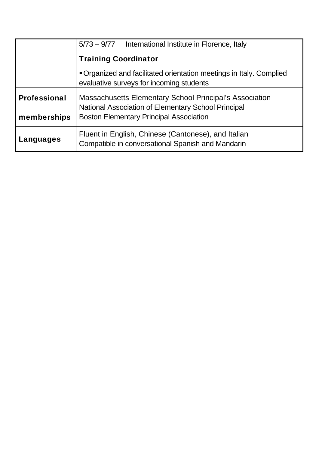|                     | $5/73 - 9/77$<br>International Institute in Florence, Italy                                                           |
|---------------------|-----------------------------------------------------------------------------------------------------------------------|
|                     | <b>Training Coordinator</b>                                                                                           |
|                     | ■ Organized and facilitated orientation meetings in Italy. Complied<br>evaluative surveys for incoming students       |
| <b>Professional</b> | <b>Massachusetts Elementary School Principal's Association</b><br>National Association of Elementary School Principal |
| memberships         | <b>Boston Elementary Principal Association</b>                                                                        |
| Languages           | Fluent in English, Chinese (Cantonese), and Italian<br>Compatible in conversational Spanish and Mandarin              |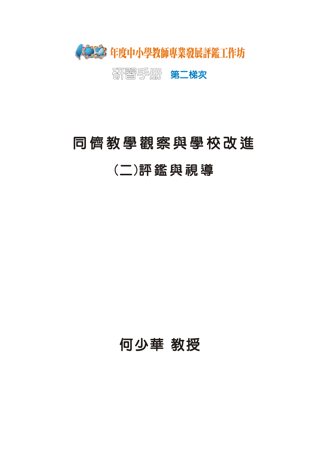

不要要要。<br>第二**梯次** 

# 同儕教學觀察與學校改進

(二)評鑑與視導

何少華 教授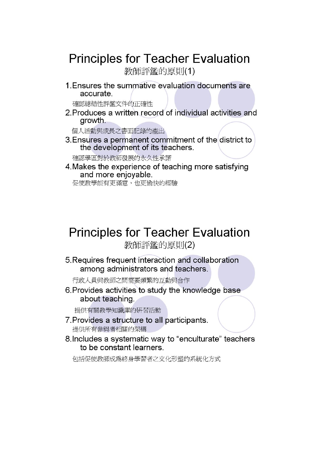## **Principles for Teacher Evaluation**

教師評鑑的原則(1)

1. Ensures the summative evaluation documents are accurate.

確認總結性評鑑文件的正確性

2. Produces a written record of individual activities and growth.

個人活動與成長之書面記錄的產出

3. Ensures a permanent commitment of the district to the development of its teachers.

確認學區對於教師發展的永久性承諾

4. Makes the experience of teaching more satisfying and more enjoyable.

促使教學能有更滿意、也更愉快的經驗

# **Principles for Teacher Evaluation**

教師評鑑的原則(2)

5. Requires frequent interaction and collaboration among administrators and teachers.

行政人員與教師之間需要頻繁的互動與合作

6. Provides activities to study the knowledge base about teaching.

提供有關教學知識庫的研習活動

- 7. Provides a structure to all participants. 提供所有參與者相關的架構
- 8. Includes a systematic way to "enculturate" teachers to be constant learners.

包括促使教師成爲終身學習者之文化形塑的系統化方式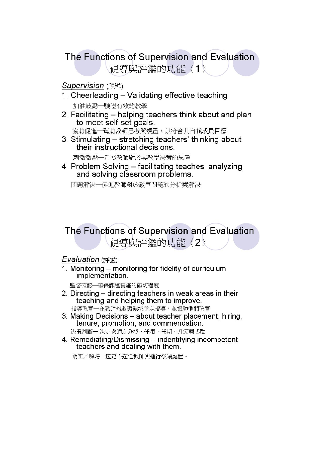## The Functions of Supervision and Evaluation 視導與評鑑的功能〈1〉

#### **Supervision** (視導)

- 1. Cheerleading Validating effective teaching 加油鼓勵一驗證有效的教學
- 2. Facilitating helping teachers think about and plan to meet self-set goals.

協助促進––幫助教師思考與規畫,以符合其自我成長目標

3. Stimulating – stretching teachers' thinking about their instructional decisions.

刺激激勵一延展教師對於其教學決策的思考

4. Problem Solving – facilitating teaches' analyzing and solving classroom problems.

問題解決一促進教師對於教室問題的分析與解決

## The Functions of Supervision and Evaluation 視導與評鑑的功能〈2〉

#### **Evaluation** (評鑑)

1. Monitoring - monitoring for fidelity of curriculum implementation.

監督確認一確保課程實施的確切程度

- 2. Directing directing teachers in weak areas in their teaching and helping them to improve. 指導改善一在老師的弱勢領域予以指導,並協助他們改善
- 3. Making Decisions about teacher placement, hiring, tenure, promotion, and commendation.
	- 決策判斷— 決定教師之分派、任用、任期、升遷與獎勵
- 4. Remediating/Dismissing indentifying incompetent teachers and dealing with them.

矯正/解聘–鑑定不適任教師與進行後續處置。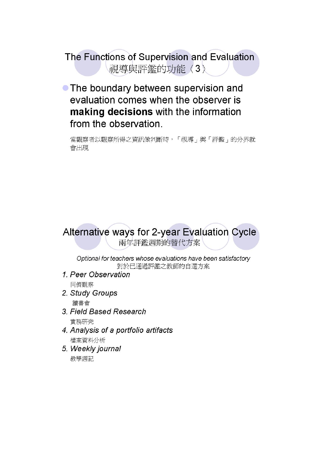The Functions of Supervision and Evaluation 視導與評鑑的功能〈3〉

• The boundary between supervision and evaluation comes when the observer is making decisions with the information from the observation.

當觀察者以觀察所得之資訊做判斷時,「視導」與「評鑑」的分界就 會出現

#### Alternative ways for 2-year Evaluation Cycle 兩年評鑑週期的替代方案

Optional for teachers whose evaluations have been satisfactory 對於已通過評鑑之教師的自選方案

- 1. Peer Observation 同儕觀察
- 2. Study Groups 讀書會
- 3. Field Based Research 實務研究
- 4. Analysis of a portfolio artifacts 檔案資料分析
- 5. Weekly journal 教學週記